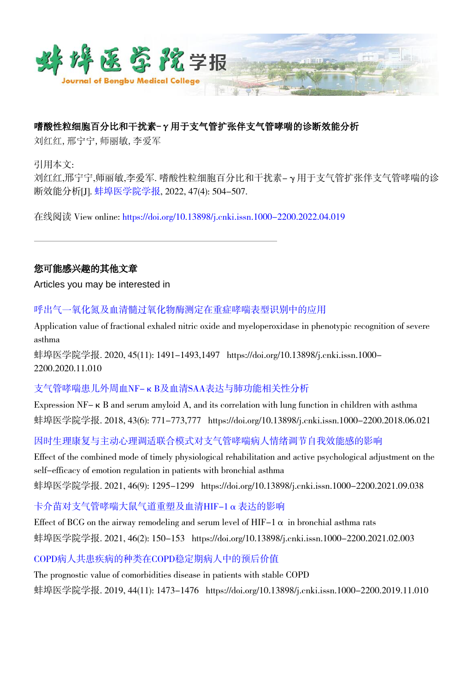

## 嗜酸性粒细胞百分比和干扰素-γ用于支气管扩张伴支气管哮喘的诊断效能分析

刘红红,邢宁宁,师丽敏,李爱军

引用本文:

刘红红,邢宁宁,师丽敏,李爱军. 嗜酸性粒细胞百分比和干扰素-γ用于支气管扩张伴支气管哮喘的诊 断效能分析[J]. [蚌埠医学院学报](https://xuebao.bbmc.edu.cn/), 2022, 47(4): 504-507.

在线阅读 View online: [https://doi.org/10.13898/j.cnki.issn.1000-2200.2022.04.019](https://xuebao.bbmc.edu.cn/cn/article/doi/10.13898/j.cnki.issn.1000-2200.2022.04.019)

## 您可能感兴趣的其他文章

Articles you may be interested in

[呼出气一氧化氮及血清髓过氧化物酶测定在重症哮喘表型识别中的应用](https://xuebao.bbmc.edu.cn/cn/article/doi/10.13898/j.cnki.issn.1000-2200.2020.11.010)

Application value of fractional exhaled nitric oxide and myeloperoxidase in phenotypic recognition of severe asthma

蚌埠医学院学报. 2020, 45(11): 1491-1493,1497 https://doi.org/10.13898/j.cnki.issn.1000-2200.2020.11.010

## [支气管哮喘患儿外周血NF-κB及血清SAA表达与肺功能相关性分析](https://xuebao.bbmc.edu.cn/cn/article/doi/10.13898/j.cnki.issn.1000-2200.2018.06.021)

Expression NF-κB and serum amyloid A, and its correlation with lung function in children with asthma 蚌埠医学院学报. 2018, 43(6): 771-773,777 https://doi.org/10.13898/j.cnki.issn.1000-2200.2018.06.021

[因时生理康复与主动心理调适联合模式对支气管哮喘病人情绪调节自我效能感的影响](https://xuebao.bbmc.edu.cn/cn/article/doi/10.13898/j.cnki.issn.1000-2200.2021.09.038)

Effect of the combined mode of timely physiological rehabilitation and active psychological adjustment on the self-efficacy of emotion regulation in patients with bronchial asthma 蚌埠医学院学报. 2021, 46(9): 1295-1299 https://doi.org/10.13898/j.cnki.issn.1000-2200.2021.09.038

[卡介苗对支气管哮喘大鼠气道重塑及血清HIF-1α表达的影响](https://xuebao.bbmc.edu.cn/cn/article/doi/10.13898/j.cnki.issn.1000-2200.2021.02.003)

Effect of BCG on the airway remodeling and serum level of HIF-1  $\alpha$  in bronchial asthma rats 蚌埠医学院学报. 2021, 46(2): 150-153 https://doi.org/10.13898/j.cnki.issn.1000-2200.2021.02.003

[COPD病人共患疾病的种类在COPD稳定期病人中的预后价值](https://xuebao.bbmc.edu.cn/cn/article/doi/10.13898/j.cnki.issn.1000-2200.2019.11.010)

The prognostic value of comorbidities disease in patients with stable COPD 蚌埠医学院学报. 2019, 44(11): 1473-1476 https://doi.org/10.13898/j.cnki.issn.1000-2200.2019.11.010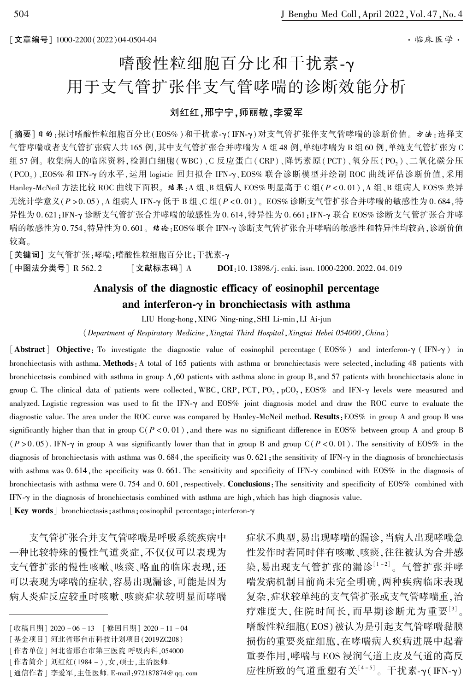# 嗜酸性粒细胞百分比和干扰素-γ 用于支气管扩张伴支气管哮喘的诊断效能分析

### 刘红红,邢宁宁,师丽敏,李爱军

[摘要]日的:探讨嗜酸性粒细胞百分比(EOS%)和干扰素-y(IFN-y)对支气管扩张伴支气管哮喘的诊断价值。 方法:选择支 气管哮喘或者支气管扩张病人共 165 例,其中支气管扩张合并哮喘为 A 组 48 例,单纯哮喘为 B 组 60 例,单纯支气管扩张为 C 组57例。收集病人的临床资料,检测白细胞(WBC)、C反应蛋白(CRP)、降钙素原(PCT)、氧分压(PO2)、二氧化碳分压 (PCO<sub>2</sub>)、EOS% 和 IFN-γ 的水平,运用 logistic 回归拟合 IFN-γ、EOS% 联合诊断模型并绘制 ROC 曲线评估诊断价值,采用 Hanley-McNeil 方法比较 ROC 曲线下面积。 结果:A 组、B 组病人 EOS% 明显高于 C 组(P < 0.01), A 组、B 组病人 EOS% 差异 无统计学意义(P > 0.05), A 组病人 IFN-γ 低于 B 组、C 组(P < 0.01)。 EOS% 诊断支气管扩张合并哮喘的敏感性为 0.684,特 异性为 0.621;IFN-γ诊断支气管扩张合并哮喘的敏感性为 0.614,特异性为 0.661;IFN-γ 联合 EOS% 诊断支气管扩张合并哮 喘的敏感性为 0.754,特异性为 0.601。 结论:EOS% 联合 IFN-γ 诊断支气管扩张合并哮喘的敏感性和特异性均较高,诊断价值 较高。

[关键词] 支气管扩张;哮喘;嗜酸性粒细胞百分比;干扰素-γ [中图法分类号] R 562.2 [文献标志码] A DOI:10. 13898/i. cnki. issn. 1000-2200. 2022. 04. 019

## Analysis of the diagnostic efficacy of eosinophil percentage and interferon- $\gamma$  in bronchiectasis with asthma

LIU Hong-hong, XING Ning-ning, SHI Li-min, LI Ai-jun

(Department of Respiratory Medicine,Xingtai Third Hospital,Xingtai Hebei 054000,China)

 $\lceil$  Abstract  $\rceil$  Objective: To investigate the diagnostic value of eosinophil percentage (EOS%) and interferon- $\gamma$  (IFN- $\gamma$ ) in bronchiectasis with asthma. Methods: A total of 165 patients with asthma or bronchiectasis were selected, including 48 patients with bronchiectasis combined with asthma in group A,60 patients with asthma alone in group B,and 57 patients with bronchiectasis alone in group C. The clinical data of patients were collected, WBC, CRP, PCT, PO<sub>2</sub>, pCO<sub>2</sub>, EOS% and IFN- $\gamma$  levels were measured and analyzed. Logistic regression was used to fit the IFN- $\gamma$  and EOS% joint diagnosis model and draw the ROC curve to evaluate the diagnostic value. The area under the ROC curve was compared by Hanley-McNeil method. Results: EOS% in group A and group B was significantly higher than that in group  $C(P < 0.01)$ , and there was no significant difference in EOS% between group A and group B  $(P > 0.05)$ . IFN-y in group A was significantly lower than that in group B and group C(P < 0.01). The sensitivity of EOS% in the diagnosis of bronchiectasis with asthma was 0.684, the specificity was 0.621; the sensitivity of IFN- $\gamma$  in the diagnosis of bronchiectasis with asthma was  $0.614$ , the specificity was  $0.661$ . The sensitivity and specificity of IFN- $\gamma$  combined with EOS% in the diagnosis of bronchiectasis with asthma were 0.754 and 0.601, respectively. Conclusions: The sensitivity and specificity of EOS% combined with IFN- $\gamma$  in the diagnosis of bronchiectasis combined with asthma are high, which has high diagnosis value.

[Key words] bronchiectasis; asthma; eosinophil percentage; interferon- $\gamma$ 

支气管扩张合并支气管哮喘是呼吸系统疾病中 一种比较特殊的慢性气道炎症,不仅仅可以表现为 支气管扩张的慢性咳嗽、咳痰、咯血的临床表现,还 可以表现为哮喘的症状,容易出现漏诊,可能是因为 病人炎症反应较重时咳嗽、咳痰症状较明显而哮喘 症状不典型,易出现哮喘的漏诊,当病人出现哮喘急 性发作时若同时伴有咳嗽、咳痰,往往被认为合并感 染,易出现支气管扩张的漏诊<sup>[1-2]</sup>。气管扩张并哮 喘发病机制目前尚未完全明确,两种疾病临床表现 复杂,症状较单纯的支气管扩张或支气管哮喘重,治 疗难度大,住院时间长,而早期诊断尤为重要[3]。 嗜酸性粒细胞(EOS)被认为是引起支气管哮喘黏膜 损伤的重要炎症细胞,在哮喘病人疾病进展中起着 重要作用,哮喘与 EOS 浸润气道上皮及气道的高反 应性所致的气道重塑有关 $^{\lfloor 4-5 \rfloor}$ 。干扰素-γ(IFN-γ)

<sup>[</sup>收稿日期] 2020 - 06 - 13 [修回日期] 2020 - 11 - 04

<sup>[</sup>基金项目] 河北省邢台市科技计划项目(2019ZC208)

<sup>[</sup>作者单位] 河北省邢台市第三医院 呼吸内科,054000

<sup>[</sup>作者简介] 刘红红(1984 - ),女,硕士,主治医师.

<sup>[</sup>通信作者] 李爱军,主任医师. E-mail: 972187874@ qq. com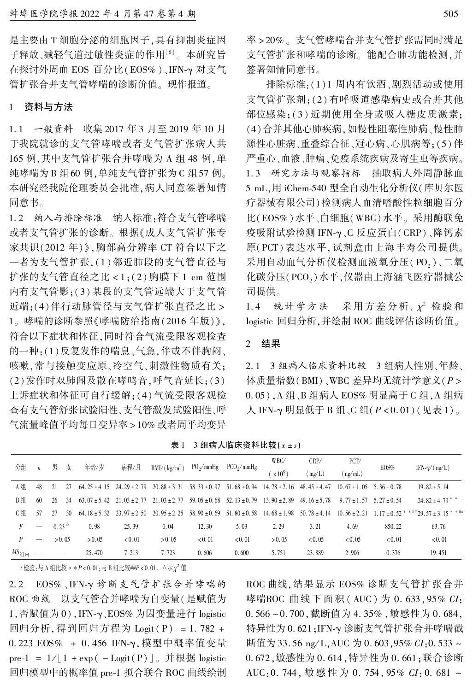是主要由 T 细胞分泌的细胞因子,具有抑制炎症因 子释放、减轻气道过敏性炎症的作用[6] 。 本研究旨 在探讨外周血 EOS 百分比(EOS%)、IFN-γ 对支气 管扩张合并支气管哮喘的诊断价值。 现作报道。

#### 1 资料与方法

1. 1 一般资料 收集 2017 年 3 月至 2019 年 10 月 于我院就诊的支气管哮喘或者支气管扩张病人共 165 例,其中支气管扩张合并哮喘为 A 组 48 例,单 纯哮喘为 B 组60 例,单纯支气管扩张为 C 组57 例。 本研究经我院伦理委员会批准,病人同意签署知情 同意书。

1. 2 纳入与排除标准 纳入标准:符合支气管哮喘 或者支气管扩张的诊断。 根据《成人支气管扩张专 家共识(2012 年)》,胸部高分辨率 CT 符合以下之 一者为支气管扩张,(1)邻近肺段的支气管直径与 扩张的支气管直径之比 < 1;(2) 胸膜下 1 cm 范围 内有支气管影;(3)某段的支气管远端大于支气管 近端;(4)伴行动脉管径与支气管扩张直径之比 > 1。 哮喘的诊断参照《哮喘防治指南(2016 年版)》, 符合以下症状和体征,同时符合气流受限客观检查 的一种:(1)反复发作的喘息、气急,伴或不伴胸闷、 咳嗽,常与接触变应原、冷空气、刺激性物质有关; (2)发作时双肺闻及散在哮鸣音,呼气音延长;(3) 上诉症状和体征可自行缓解;(4)气流受限客观检 查有支气管舒张试验阳性、支气管激发试验阳性、呼 气流量峰值平均每日变异率 > 10% 或者周平均变异

率 > 20% 。 支气管哮喘合并支气管扩张需同时满足 支气管扩张和哮喘的诊断。 能配合肺功能检测,并 签署知情同意书。

排除标准:(1)1 周内有饮酒、剧烈活动或使用 支气管扩张剂;(2)有呼吸道感染病史或合并其他 部位感染;(3) 近期使用全身或吸入糖皮质激素; (4)合并其他心肺疾病,如慢性阻塞性肺病、慢性肺 源性心脏病、重叠综合征、冠心病、心肌病等;(5)伴 严重心、血液、肿瘤、免疫系统疾病及寄生虫等疾病。 1. 3 研究方法与观察指标 抽取病人外周静脉血 5 mL,用 iChem-540 型全自动生化分析仪(库贝尔医 疗器械有限公司)检测病人血清嗜酸性粒细胞百分 比(EOS% )水平、白细胞(WBC)水平。 采用酶联免 疫吸附试验检测 IFN-γ、C 反应蛋白(CRP)、降钙素 原(PCT) 表达水平,试剂盒由上海丰寿公司提供。 采用自动血气分析仪检测血液氧分压(PO2)、二氧 化碳分压(PCO2)水平,仪器由上海涵飞医疗器械公 司提供。

1.4 统计学方法 采用方差分析、 $x^2$ 检验和 logistic 回归分析,并绘制 ROC 曲线评估诊断价值。

#### 2 结果

2. 1 3 组病人临床资料比较 3 组病人性别、年龄、 体质量指数(BMI)、WBC 差异均无统计学意义(P > 0. 05),A 组、B 组病人 EOS% 明显高于 C 组,A 组病 人 IFN-γ 明显低于 B 组、C 组(P < 0.01)(见表 1)。

表 1 3 组病人临床资料比较 $(\bar{x} \pm s)$ 

| 分组                             | $\mathfrak n$ | 男                  |                          | 年龄/岁   | 病程/月                              | $BMI/(kg/m^2)$                                                                       | $PO_2/mmHg$                       | $PCO_2/mmHg$     | WBC/             | CRP/             | PCT/                            | EOS%          | IFN- $\gamma/(ng/L)$                                                        |
|--------------------------------|---------------|--------------------|--------------------------|--------|-----------------------------------|--------------------------------------------------------------------------------------|-----------------------------------|------------------|------------------|------------------|---------------------------------|---------------|-----------------------------------------------------------------------------|
|                                |               |                    | 女                        |        |                                   |                                                                                      |                                   |                  | $\times 10^9$    | (mg/L)           | (ng/mL)                         |               |                                                                             |
| A组                             | 48            | 21                 | 27                       |        | $64.25 + 4.15$ $24.29 + 2.79$     | $20.88 \pm 3.31$                                                                     | $58.33 \pm 0.97$                  | $51.68 \pm 0.94$ | $14.78 \pm 2.16$ | $48.45 \pm 4.47$ | $10.67 \pm 1.05$                | $5.36 + 0.78$ | $19.82 \pm 5.14$                                                            |
| B组                             | 60            | 26                 | 34                       |        |                                   | $63.07 \pm 5.42$ $21.03 \pm 2.77$ $21.03 \pm 2.77$ $59.05 \pm 0.68$ $52.13 \pm 0.79$ |                                   |                  | $13.90 \pm 2.89$ | 49.16 $\pm$ 5.78 | $9.77 \pm 1.57$ 5.27 $\pm 0.54$ |               | 24.82 $\pm$ 4.79 <sup>*</sup>                                               |
| C组                             | 57            | 27                 | 30                       |        | $64.18 \pm 5.32$ $23.97 \pm 2.50$ |                                                                                      | $20.95 \pm 2.25$ 58.90 $\pm 0.69$ | $51.80 \pm 0.58$ | $14.68 \pm 1.98$ | $50.78 \pm 4.14$ |                                 |               | $10.56 \pm 2.21$ 1.17 $\pm$ 0.52 $*$ $*$ $\#$ 29.57 $\pm$ 3.15 $*$ $*$ $\#$ |
|                                | -             | $0.23^{\triangle}$ |                          | 0.98   | 25.39                             | 0.04                                                                                 | 12.30                             | 5.03             | 2.29             | 3.21             | 4.69                            | 850.22        | 63.76                                                                       |
| P                              | -             |                    | > 0.05                   | > 0.05 | < 0.01                            | > 0.05                                                                               | < 0.01                            | < 0.01           | > 0.05           | < 0.05           | < 0.05                          | < 0.01        | < 0.01                                                                      |
| $MS_{4\text{H}}$ <sub>th</sub> |               |                    | $\overline{\phantom{0}}$ | 25.470 | 7.213                             | 7.723                                                                                | 0.606                             | 0.600            | 5.751            | 23.889           | 2.906                           | 0.376         | 19.451                                                                      |

 $t$  检验 : 与 A 组比较 \* \*  $P$  < 0. 01 ; 与 B 组比较##P < 0. 01 。 $\Delta \overline{\kappa} \, \chi^2$  值

 $2.2$   $EOS%$ 、IFN-γ诊断支气管扩张合并哮喘的 ROC 曲线 以支气管合并哮喘为自变量(是赋值为 1,否赋值为 0), IFN-γ、EOS% 为因变量进行 logistic 回归分析,得到回归方程为 Logit ( P) = 1. 782 + 0. 223 EOS% + 0. 456 IFN-γ,模型中概率值变量 pre-1 =  $1/$ [ 1 + exp( - Logit(P)]。并根据 logistic 回归模型中的概率值 pre-1 拟合联合 ROC 曲线绘制

ROC 曲线,结果显示 EOS% 诊断支气管扩张合并 哮喘ROC 曲线下面积 ( AUC ) 为 0. 633, 95% CI: 0. 566 ~ 0. 700,截断值为 4. 35% ,敏感性为 0. 684, 特异性为 0.621;IFN-γ诊断支气管扩张合并哮喘截 断值为 33.56 ng/L, AUC 为 0.603, 95%  $CI$ :0.533~ 0. 672,敏感性为 0. 614,特异性为 0. 661;联合诊断 AUC: 0. 744, 敏感性为 0. 754, 95%  $CI: 0.681$  ~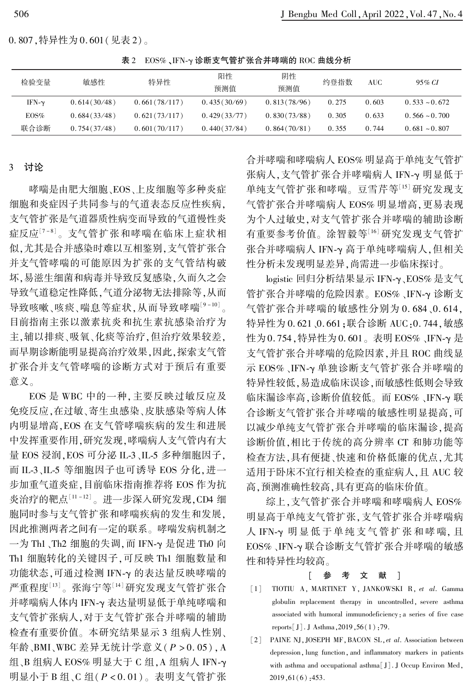0. 807,特异性为 0. 601(见表 2)。

表 2 EOS%、IFN-γ 诊断支气管扩张合并哮喘的 ROC 曲线分析

| 检验变量          | 敏感性          | 特异性           | 阳性<br>预测值    | 阴性<br>预测值    | 约登指数  | AUC   | 95% CI             |
|---------------|--------------|---------------|--------------|--------------|-------|-------|--------------------|
| IFN- $\gamma$ | 0.614(30/48) | 0.661(78/117) | 0.435(30/69) | 0.813(78/96) | 0.275 | 0.603 | $0.533 \sim 0.672$ |
| EOS%          | 0.684(33/48) | 0.621(73/117) | 0.429(33/77) | 0.830(73/88) | 0.305 | 0.633 | $0.566 \sim 0.700$ |
| 联合诊断          | 0.754(37/48) | 0.601(70/117) | 0.440(37/84) | 0.864(70/81) | 0.355 | 0.744 | $0.681 - 0.807$    |

#### 3 讨论

哮喘是由肥大细胞、EOS、上皮细胞等多种炎症 细胞和炎症因子共同参与的气道表态反应性疾病, 支气管扩张是气道器质性病变而导致的气道慢性炎 症反应<sup>[7-8]</sup>。支气管扩张和哮喘在临床上症状相 似,尤其是合并感染时难以互相鉴别,支气管扩张合 并支气管哮喘的可能原因为扩张的支气管结构破 坏,易滋生细菌和病毒并导致反复感染,久而久之会 导致气道稳定性降低,气道分泌物无法排除等,从而 导致咳嗽、咳痰、喘息等症状,从而导致哮喘<sup>[9-10]</sup>。 目前指南主张以激素抗炎和抗生素抗感染治疗为 主,辅以排痰、吸氧、化痰等治疗,但治疗效果较差, 而早期诊断能明显提高治疗效果,因此,探索支气管 扩张合并支气管哮喘的诊断方式对于预后有重要 意义。

EOS 是 WBC 中的一种,主要反映过敏反应及 免疫反应,在过敏、寄生虫感染、皮肤感染等病人体 内明显增高,EOS 在支气管哮喘疾病的发生和进展 中发挥重要作用,研究发现,哮喘病人支气管内有大 量 EOS 浸润, EOS 可分泌 IL-3、IL-5 多种细胞因子, 而 IL-3、IL-5 等细胞因子也可诱导 EOS 分化,进一 步加重气道炎症,目前临床指南推荐将 EOS 作为抗 炎治疗的靶点 $^{\left[ 11-12\right] }$ 。进一步深入研究发现,CD4 细 胞同时参与支气管扩张和哮喘疾病的发生和发展, 因此推测两者之间有一定的联系。 哮喘发病机制之  $-$ 为 Th1、Th2 细胞的失调, 而 IFN- $\gamma$  是促进 Th0 向 Th1 细胞转化的关键因子,可反映 Th1 细胞数量和 功能状态,可通过检测 IFN-γ 的表达量反映哮喘的 严重程度 $^{\text{\tiny{[13]}}}$ 。张海宁等 $^{\text{\tiny{[14]}}}$ 研究发现支气管扩张合 并哮喘病人体内 IFN-γ 表达量明显低于单纯哮喘和 支气管扩张病人,对于支气管扩张合并哮喘的辅助 检查有重要价值。 本研究结果显示 3 组病人性别、 年龄、BMI、WBC 差异无统计学意义(P > 0. 05),A 组、B 组病人 EOS% 明显大于 C 组, A 组病人 IFN-γ 明显小于 B 组、C 组( $P < 0.01$ )。表明支气管扩张

合并哮喘和哮喘病人 EOS% 明显高于单纯支气管扩 张病人,支气管扩张合并哮喘病人 IFN-γ 明显低于 单纯支气管扩张和哮喘。 豆雪芹等[15] 研究发现支 气管扩张合并哮喘病人 EOS% 明显增高,更易表现 为个人过敏史,对支气管扩张合并哮喘的辅助诊断 有重要参考价值。 涂智毅等[16] 研究发现支气管扩 张合并哮喘病人 IFN-γ 高于单纯哮喘病人,但相关 性分析未发现明显差异,尚需进一步临床探讨。

logistic 回归分析结果显示 IFN-γ、EOS% 是支气 管扩张合并哮喘的危险因素。EOS%、IFN-γ诊断支 气管扩张合并哮喘的敏感性分别为 0. 684、0. 614, 特异性为 0. 621、0. 661;联合诊断 AUC:0. 744,敏感 性为 0.754, 特异性为 0.601。表明 EOS%、IFN-γ 是 支气管扩张合并哮喘的危险因素,并且 ROC 曲线显 示 EOS%、IFN-γ 单独诊断支气管扩张合并哮喘的 特异性较低,易造成临床误诊,而敏感性低则会导致 临床漏诊率高,诊断价值较低。而 EOS%、IFN-γ 联 合诊断支气管扩张合并哮喘的敏感性明显提高,可 以减少单纯支气管扩张合并哮喘的临床漏诊,提高 诊断价值,相比于传统的高分辨率 CT 和肺功能等 检查方法,具有便捷、快速和价格低廉的优点,尤其 适用于卧床不宜行相关检查的重症病人,且 AUC 较 高,预测准确性较高,具有更高的临床价值。

综上,支气管扩张合并哮喘和哮喘病人 EOS% 明显高于单纯支气管扩张,支气管扩张合并哮喘病 人 IFN-γ 明显低于单纯支气管扩张和哮喘, 且 EOS%、IFN-γ 联合诊断支气管扩张合并哮喘的敏感 性和特异性均较高。

#### [ 参 考 文 献 ]

- [1] TIOTIU A, MARTINET Y, JANKOWSKI R, et al. Gamma globulin replacement therapy in uncontrolled, severe asthma associated with humoral immunodeficiency:a series of five case reports[J]. J Asthma,2019,56(1):79.
- [2] PAINE NJ, JOSEPH MF, BACON SL, et al. Association between depression, lung function, and inflammatory markers in patients with asthma and occupational asthma<sup>[J]</sup>. J Occup Environ Med, 2019,61(6):453.